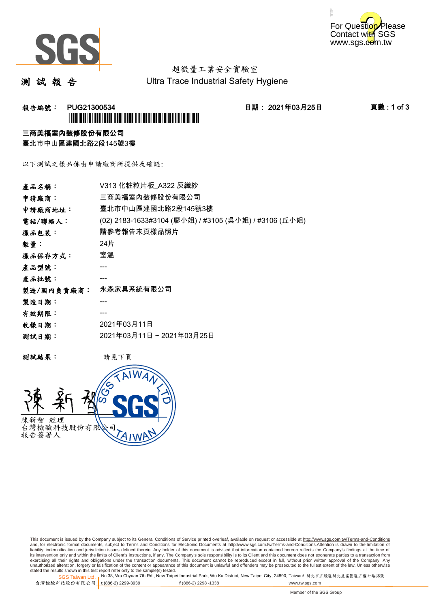



# 超微量工業安全實驗室

測 試 報 告

Ultra Trace Industrial Safety Hygiene

# **報告編號: PUG21300534 日期: 2021年03月25日 頁數:1 of 3** \*PUG21300534\*

## 三商美福室內裝修股份有限公司

臺北市中山區建國北路2段145號3樓

以下測試之樣品係由申請廠商所提供及確認:

| 產品名稱:      | V313 化粧粒片板 A322 灰織紗                                   |
|------------|-------------------------------------------------------|
| 申請廠商:      | 三商美福室內裝修股份有限公司                                        |
| 申請廠商地址:    | 臺北市中山區建國北路2段145號3樓                                    |
| 電話/聯絡人:    | (02) 2183-1633#3104 (廖小姐) / #3105 (吳小姐) / #3106 (丘小姐) |
| 樣品包裝:      | 請參考報告末頁樣品照片                                           |
| 數量:        | 24片                                                   |
| 樣品保存方式:    | 室溫                                                    |
| 產品型號:      |                                                       |
| 產品批號:      |                                                       |
| 製造/國內負責廠商: | 永森家具系統有限公司                                            |
| 製造日期:      |                                                       |
| 有效期限:      |                                                       |
| 收樣日期:      | 2021年03月11日                                           |
| 测試日期:      | 2021年03月11日~2021年03月25日                               |
|            |                                                       |

测試結果: 一請見下頁



This document is issued by the Company subject to its General Conditions of Service printed overleaf, available on request or accessible at http://www.sgs.com.tw/Terms-and-Conditions and, for electronic format documents, subject to Terms and Conditions for Electronic Documents at <u>http://www.sgs.com.tw/Terms-and-Conditions</u>.Attention is drawn to the limitation of<br>liability, indemnification and jurisdic exercising all their rights and obligations under the transaction documents. This document cannot be reproduced except in full, without prior written approval of the Company. Any<br>unauthorized alteration, forgery or falsifi

SGS Taiwan Ltd. 1 stated the results shown in this test report refer only to the sample(s) tested.<br>Stated the results shown in this test report refer only to the sample(s) tested.

台灣檢驗科技股份有限公司

**t** (886-2) 2299-3939 **f** (886-2) 2298 -1338 www.tw.sgs.com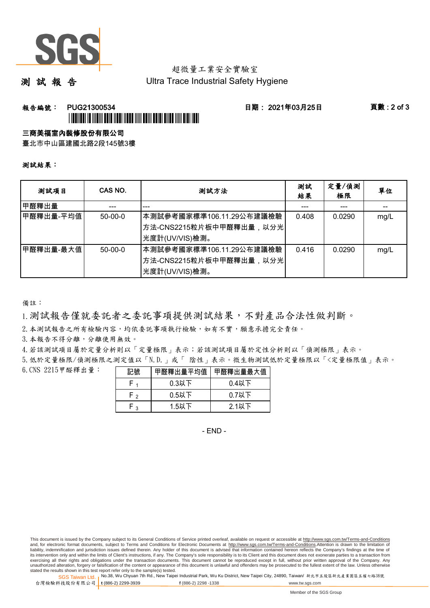

# 超微量工業安全實驗室

測 試 報 告

Ultra Trace Industrial Safety Hygiene

# **報告編號: PUG21300534 日期: 2021年03月25日 頁數:2 of 3** \*PUG21300534\*

### 三商美福室內裝修股份有限公司

臺北市中山區建國北路2段145號3樓

### 測試結果:

| 测試項目      | CAS NO.       | 測試方法                                                                                | 測試<br>結果 | 定量/偵測<br>極限 | 單位   |
|-----------|---------------|-------------------------------------------------------------------------------------|----------|-------------|------|
| 甲醛釋出量     |               | ---                                                                                 |          |             |      |
| 甲醛釋出量-平均值 | $50 - 00 - 0$ | 本測試參考國家標準106.11.29公布建議檢驗<br>方法-CNS2215粒片板中甲醛釋出量,以分光<br>光度計(UV/VIS)檢測。               | 0.408    | 0.0290      | mg/L |
| 甲醛釋出量-最大值 | $50 - 00 - 0$ | 本測試參考國家標準106.11.29公布建議檢驗<br><sup> </sup> 方法-CNS2215粒片板中甲醛釋出量,以分光 <br>光度計(UV/VIS)檢測。 | 0.416    | 0.0290      | mg/L |

備註:

1.測試報告僅就委託者之委託事項提供測試結果,不對產品合法性做判斷。

2.本測試報告之所有檢驗內容,均依委託事項執行檢驗,如有不實,願意承擔完全責任。

3. 本報告不得分離,分離使用無效。

4.若該測試項目屬於定量分析則以「定量極限」表示;若該測試項目屬於定性分析則以「偵測極限」表示。

5.低於定量極限/偵測極限之測定值以「N.D.」或「 陰性」表示。微生物測試低於定量極限以「<定量極限值」表示。

6.CNS 2215甲醛釋出量:

| 記號  | 甲醛釋出量平均值 | 甲醛釋出量最大值 |
|-----|----------|----------|
|     | $0.3$ 以下 | $0.4$ 以下 |
| r و | $0.5$ 以下 | $0.7$ 以下 |
| 2   | $1.5$ 以下 | $2.1$ 以下 |

- END -

This document is issued by the Company subject to its General Conditions of Service printed overleaf, available on request or accessible at http://www.sgs.com.tw/Terms-and-Conditions and, for electronic format documents, subject to Terms and Conditions for Electronic Documents at http://www.sgs.com.tw/Terms-and-Conditions.Attention is drawn to the limitation of liability, indemnification and jurisdiction issues defined therein. Any holder of this document is advised that information contained hereon reflects the Company's findings at the time of<br>its intervention only and within t exercising all their rights and obligations under the transaction documents. This document cannot be reproduced except in full, without prior written approval of the Company. Any<br>unauthorized alteration, forgery or falsifi

SGS Taiwan Ltd. 1 stated the results shown in this test report refer only to the sample(s) tested.<br>Stated the results shown in this test report refer only to the sample(s) tested.

台灣檢驗科技股份有限公司

**t** (886-2) 2299-3939 **f** (886-2) 2298 -1338 www.tw.sgs.com